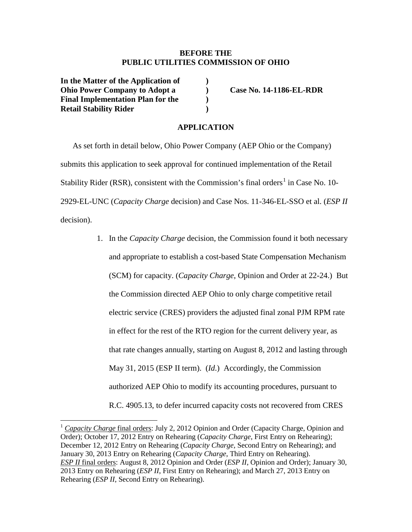## **BEFORE THE PUBLIC UTILITIES COMMISSION OF OHIO**

**In the Matter of the Application of ) Ohio Power Company to Adopt a ) Case No. 14-1186-EL-RDR Final Implementation Plan for the ) Retail Stability Rider )**

## **APPLICATION**

As set forth in detail below, Ohio Power Company (AEP Ohio or the Company) submits this application to seek approval for continued implementation of the Retail Stability Rider (RSR), consistent with the Commission's final orders<sup>[1](#page-0-0)</sup> in Case No. 10-2929-EL-UNC (*Capacity Charge* decision) and Case Nos. 11-346-EL-SSO et al. (*ESP II* decision).

> 1. In the *Capacity Charge* decision, the Commission found it both necessary and appropriate to establish a cost-based State Compensation Mechanism (SCM) for capacity. (*Capacity Charge*, Opinion and Order at 22-24.) But the Commission directed AEP Ohio to only charge competitive retail electric service (CRES) providers the adjusted final zonal PJM RPM rate in effect for the rest of the RTO region for the current delivery year, as that rate changes annually, starting on August 8, 2012 and lasting through May 31, 2015 (ESP II term). (*Id*.) Accordingly, the Commission authorized AEP Ohio to modify its accounting procedures, pursuant to R.C. 4905.13, to defer incurred capacity costs not recovered from CRES

<span id="page-0-0"></span><sup>1</sup> *Capacity Charge* final orders: July 2, 2012 Opinion and Order (Capacity Charge, Opinion and Order); October 17, 2012 Entry on Rehearing (*Capacity Charge*, First Entry on Rehearing); December 12, 2012 Entry on Rehearing (*Capacity Charge*, Second Entry on Rehearing); and January 30, 2013 Entry on Rehearing (*Capacity Charge*, Third Entry on Rehearing). *ESP II* final orders: August 8, 2012 Opinion and Order (*ESP II*, Opinion and Order); January 30, 2013 Entry on Rehearing (*ESP II*, First Entry on Rehearing); and March 27, 2013 Entry on Rehearing (*ESP II*, Second Entry on Rehearing).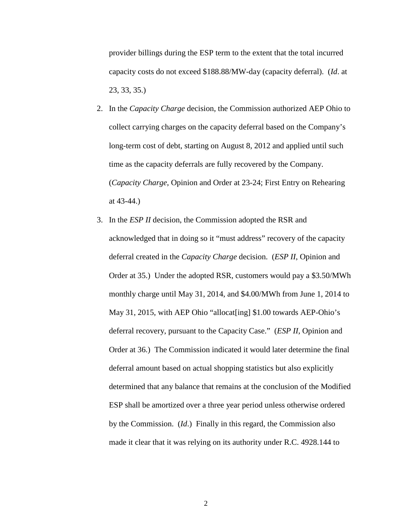provider billings during the ESP term to the extent that the total incurred capacity costs do not exceed \$188.88/MW-day (capacity deferral). (*Id*. at 23, 33, 35.)

- 2. In the *Capacity Charge* decision, the Commission authorized AEP Ohio to collect carrying charges on the capacity deferral based on the Company's long-term cost of debt, starting on August 8, 2012 and applied until such time as the capacity deferrals are fully recovered by the Company. (*Capacity Charge*, Opinion and Order at 23-24; First Entry on Rehearing at 43-44.)
- 3. In the *ESP II* decision, the Commission adopted the RSR and acknowledged that in doing so it "must address" recovery of the capacity deferral created in the *Capacity Charge* decision. (*ESP II*, Opinion and Order at 35.) Under the adopted RSR, customers would pay a \$3.50/MWh monthly charge until May 31, 2014, and \$4.00/MWh from June 1, 2014 to May 31, 2015, with AEP Ohio "allocat[ing] \$1.00 towards AEP-Ohio's deferral recovery, pursuant to the Capacity Case." (*ESP II,* Opinion and Order at 36.) The Commission indicated it would later determine the final deferral amount based on actual shopping statistics but also explicitly determined that any balance that remains at the conclusion of the Modified ESP shall be amortized over a three year period unless otherwise ordered by the Commission. (*Id*.) Finally in this regard, the Commission also made it clear that it was relying on its authority under R.C. 4928.144 to

2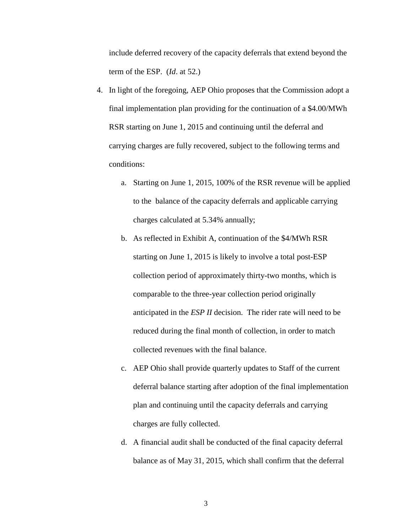include deferred recovery of the capacity deferrals that extend beyond the term of the ESP. (*Id*. at 52.)

- 4. In light of the foregoing, AEP Ohio proposes that the Commission adopt a final implementation plan providing for the continuation of a \$4.00/MWh RSR starting on June 1, 2015 and continuing until the deferral and carrying charges are fully recovered, subject to the following terms and conditions:
	- a. Starting on June 1, 2015, 100% of the RSR revenue will be applied to the balance of the capacity deferrals and applicable carrying charges calculated at 5.34% annually;
	- b. As reflected in Exhibit A, continuation of the \$4/MWh RSR starting on June 1, 2015 is likely to involve a total post-ESP collection period of approximately thirty-two months, which is comparable to the three-year collection period originally anticipated in the *ESP II* decision. The rider rate will need to be reduced during the final month of collection, in order to match collected revenues with the final balance.
	- c. AEP Ohio shall provide quarterly updates to Staff of the current deferral balance starting after adoption of the final implementation plan and continuing until the capacity deferrals and carrying charges are fully collected.
	- d. A financial audit shall be conducted of the final capacity deferral balance as of May 31, 2015, which shall confirm that the deferral

3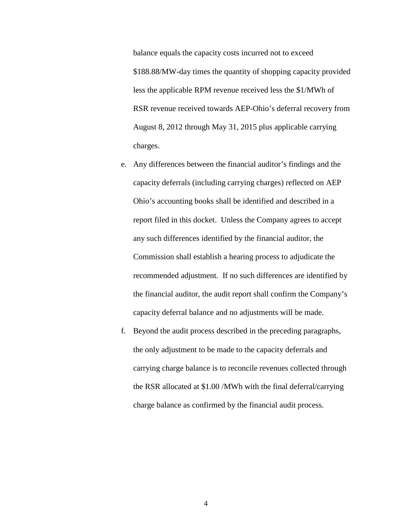balance equals the capacity costs incurred not to exceed \$188.88/MW-day times the quantity of shopping capacity provided less the applicable RPM revenue received less the \$1/MWh of RSR revenue received towards AEP-Ohio's deferral recovery from August 8, 2012 through May 31, 2015 plus applicable carrying charges.

- e. Any differences between the financial auditor's findings and the capacity deferrals (including carrying charges) reflected on AEP Ohio's accounting books shall be identified and described in a report filed in this docket. Unless the Company agrees to accept any such differences identified by the financial auditor, the Commission shall establish a hearing process to adjudicate the recommended adjustment. If no such differences are identified by the financial auditor, the audit report shall confirm the Company's capacity deferral balance and no adjustments will be made.
- f. Beyond the audit process described in the preceding paragraphs, the only adjustment to be made to the capacity deferrals and carrying charge balance is to reconcile revenues collected through the RSR allocated at \$1.00 /MWh with the final deferral/carrying charge balance as confirmed by the financial audit process.

4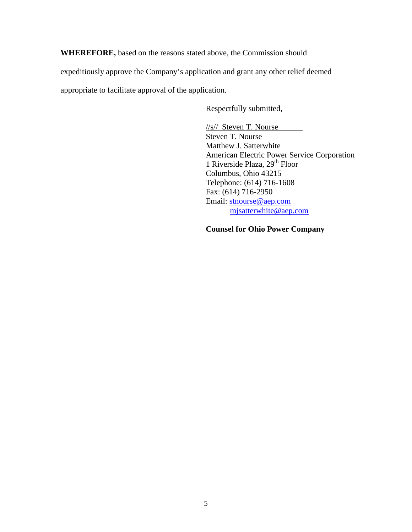**WHEREFORE,** based on the reasons stated above, the Commission should

expeditiously approve the Company's application and grant any other relief deemed

appropriate to facilitate approval of the application.

Respectfully submitted,

//s// Steven T. Nourse Steven T. Nourse Matthew J. Satterwhite American Electric Power Service Corporation 1 Riverside Plaza, 29<sup>th</sup> Floor Columbus, Ohio 43215 Telephone: (614) 716-1608 Fax: (614) 716-2950 Email: [stnourse@aep.com](mailto:stnourse@aep.com) [mjsatterwhite@aep.com](mailto:mjsatterwhite@aep.com)

## **Counsel for Ohio Power Company**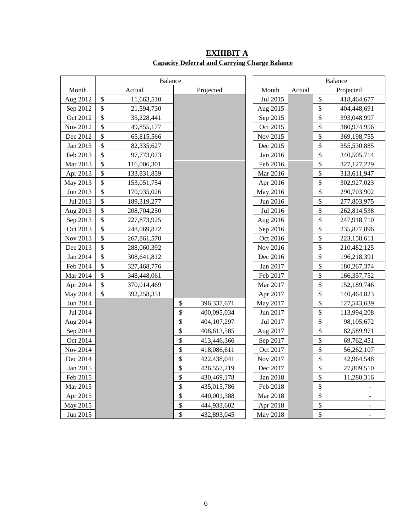|          | <b>Balance</b>                           |                   |          | <b>Balance</b> |                                    |
|----------|------------------------------------------|-------------------|----------|----------------|------------------------------------|
| Month    | Actual                                   | Projected         | Month    | Actual         | Projected                          |
| Aug 2012 | \$<br>11,663,510                         |                   | Jul 2015 |                | \$<br>418,464,677                  |
| Sep 2012 | \$<br>21,594,730                         |                   | Aug 2015 |                | \$<br>404,448,691                  |
| Oct 2012 | \$<br>35,228,441                         |                   | Sep 2015 |                | \$<br>393,048,997                  |
| Nov 2012 | \$<br>49,855,177                         |                   | Oct 2015 |                | \$<br>380,974,956                  |
| Dec 2012 | \$<br>65,815,566                         |                   | Nov 2015 |                | $\boldsymbol{\$}$<br>369,198,755   |
| Jan 2013 | $\boldsymbol{\mathsf{S}}$<br>82,335,627  |                   | Dec 2015 |                | \$<br>355,530,885                  |
| Feb 2013 | \$<br>97,773,073                         |                   | Jan 2016 |                | $\boldsymbol{\$}$<br>340,505,714   |
| Mar 2013 | \$<br>116,006,301                        |                   | Feb 2016 |                | $\boldsymbol{\$}$<br>327, 127, 229 |
| Apr 2013 | $\boldsymbol{\mathsf{S}}$<br>133,831,859 |                   | Mar 2016 |                | \$<br>313,611,947                  |
| May 2013 | $\boldsymbol{\mathsf{S}}$<br>153,051,754 |                   | Apr 2016 |                | $\boldsymbol{\$}$<br>302,927,023   |
| Jun 2013 | \$<br>170,935,026                        |                   | May 2016 |                | $\boldsymbol{\$}$<br>290,703,902   |
| Jul 2013 | $\boldsymbol{\mathsf{S}}$<br>189,319,277 |                   | Jun 2016 |                | $\mathbb{S}$<br>277,803,975        |
| Aug 2013 | $\boldsymbol{\mathsf{S}}$<br>208,704,250 |                   | Jul 2016 |                | $\mathbb{S}$<br>262,814,538        |
| Sep 2013 | \$<br>227,873,925                        |                   | Aug 2016 |                | \$<br>247,918,710                  |
| Oct 2013 | \$<br>248,069,872                        |                   | Sep 2016 |                | $\mathbb{S}$<br>235,877,896        |
| Nov 2013 | $\boldsymbol{\mathsf{S}}$<br>267,861,570 |                   | Oct 2016 |                | $\mathbb{S}$<br>223,158,611        |
| Dec 2013 | \$<br>288,060,392                        |                   | Nov 2016 |                | \$<br>210,482,125                  |
| Jan 2014 | $\boldsymbol{\mathsf{S}}$<br>308,641,812 |                   | Dec 2016 |                | $\mathbb{S}$<br>196,218,391        |
| Feb 2014 | $\mathcal{S}$<br>327,468,776             |                   | Jan 2017 |                | \$<br>180,267,374                  |
| Mar 2014 | \$<br>348,448,061                        |                   | Feb 2017 |                | \$<br>166, 357, 752                |
| Apr 2014 | \$<br>370,014,469                        |                   | Mar 2017 |                | $\mathbb{S}$<br>152,189,746        |
| May 2014 | \$<br>392,258,351                        |                   | Apr 2017 |                | $\boldsymbol{\$}$<br>140,464,823   |
| Jun 2014 |                                          | \$<br>396,337,671 | May 2017 |                | $\mathbb{S}$<br>127,543,639        |
| Jul 2014 |                                          | \$<br>400,095,034 | Jun 2017 |                | $\mathbb{S}$<br>113,994,208        |
| Aug 2014 |                                          | \$<br>404,107,297 | Jul 2017 |                | $\boldsymbol{\$}$<br>98,105,672    |
| Sep 2014 |                                          | \$<br>408,613,585 | Aug 2017 |                | \$<br>82,589,971                   |
| Oct 2014 |                                          | \$<br>413,446,366 | Sep 2017 |                | \$<br>69,762,451                   |
| Nov 2014 |                                          | \$<br>418,086,611 | Oct 2017 |                | $\hat{\mathcal{L}}$<br>56,262,107  |
| Dec 2014 |                                          | \$<br>422,438,041 | Nov 2017 |                | $\hat{\mathcal{L}}$<br>42,964,548  |
| Jan 2015 |                                          | \$<br>426,557,219 | Dec 2017 |                | $\hat{\mathcal{L}}$<br>27,809,510  |
| Feb 2015 |                                          | \$<br>430,469,178 | Jan 2018 |                | $\sqrt{\ }$<br>11,280,316          |
| Mar 2015 |                                          | \$<br>435,015,786 | Feb 2018 |                | $\hat{\mathcal{L}}$                |
| Apr 2015 |                                          | \$<br>440,001,388 | Mar 2018 |                | \$                                 |
| May 2015 |                                          | \$<br>444,933,602 | Apr 2018 |                | \$                                 |
| Jun 2015 |                                          | \$<br>432,893,045 | May 2018 |                | \$<br>$\overline{\phantom{a}}$     |

**EXHIBIT A Capacity Deferral and Carrying Charge Balance**